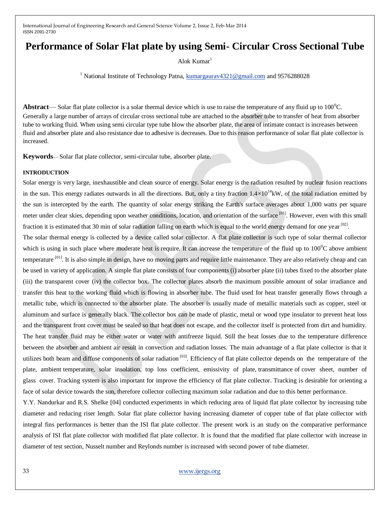# **Performance of Solar Flat plate by using Semi- Circular Cross Sectional Tube**

Alok Kumar $<sup>1</sup>$ </sup>

<sup>1</sup> National Institute of Technology Patna,  $\frac{\text{kumargaurav4321@gmail.com}}{100}$  and 9576288028

**Abstract**— Solar flat plate collector is a solar thermal device which is use to raise the temperature of any fluid up to 100<sup>o</sup>C. Generally a large number of arrays of circular cross sectional tube are attached to the absorber tube to transfer of heat from absorber tube to working fluid. When using semi circular type tube blow the absorber plate, the area of intimate contact is increases between fluid and absorber plate and also resistance due to adhesive is decreases. Due to this reason performance of solar flat plate collector is increased.

**Keywords**— Solar flat plate collector, semi-circular tube, absorber plate.

#### **INTRODUCTION**

Solar energy is very large, inexhaustible and clean source of energy. Solar energy is the radiation resulted by nuclear fusion reactions in the sun. This energy radiates outwards in all the directions. But, only a tiny fraction  $1.4\times10^{14}$ kW, of the total radiation emitted by the sun is intercepted by the earth. The quantity of solar energy striking the Earth's surface averages about 1,000 watts per square meter under clear skies, depending upon weather conditions, location, and orientation of the surface <sup>[01]</sup>. However, even with this small fraction it is estimated that 30 min of solar radiation falling on earth which is equal to the world energy demand for one year [02].

The solar thermal energy is collected by a device called solar collector. A flat plate collector is such type of solar thermal collector which is using in such place where moderate heat is require. It can increase the temperature of the fluid up to  $100^{\circ}$ C above ambient temperature <sup>[01]</sup>. It is also simple in design, have no moving parts and require little maintenance. They are also relatively cheap and can be used in variety of application. A simple flat plate consists of four components (i) absorber plate (ii) tubes fixed to the absorber plate (iii) the transparent cover (iv) the collector box. The collector plates absorb the maximum possible amount of solar irradiance and transfer this heat to the working fluid which is flowing in absorber tube. The fluid used for heat transfer generally flows through a metallic tube, which is connected to the absorber plate. The absorber is usually made of metallic materials such as copper, steel or aluminum and surface is generally black. The collector box can be made of plastic, metal or wood type insulator to prevent heat loss and the transparent front cover must be sealed so that heat does not escape, and the collector itself is protected from dirt and humidity. The heat transfer fluid may be either water or water with antifreeze liquid. Still the heat losses due to the temperature difference between the absorber and ambient air result in convection and radiation losses. The main advantage of a flat plate collector is that it utilizes both beam and diffuse components of solar radiation<sup>[03]</sup>. Efficiency of flat plate collector depends on the temperature of the plate, ambient temperature, solar insolation, top loss coefficient, emissivity of plate, transmittance of cover sheet, number of glass cover. Tracking system is also important for improve the efficiency of flat plate collector. Tracking is desirable for orienting a face of solar device towards the sun, therefore collector collecting maximum solar radiation and due to this better performance.

Y.Y. Nandurkar and R.S. Shelke [04] conducted experiments in which reducing area of liquid flat plate collector by increasing tube diameter and reducing riser length. Solar flat plate collector having increasing diameter of copper tube of flat plate collector with integral fins performances is better than the ISI flat plate collector. The present work is an study on the comparative performance analysis of ISI flat plate collector with modified flat plate collector. It is found that the modified flat plate collector with increase in diameter of test section, Nusselt number and Reylonds number is increased with second power of tube diameter.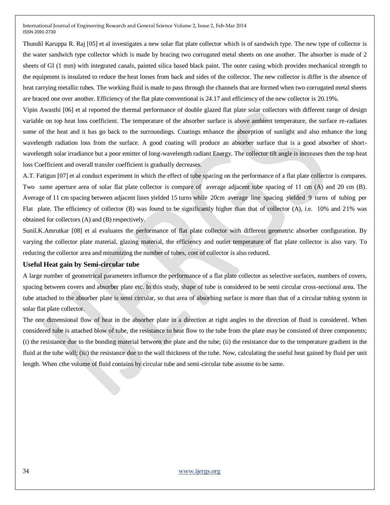Thundil Karuppa R. Raj [05] et al investigates a new solar flat plate collector which is of sandwich type. The new type of collector is the water sandwich type collector which is made by bracing two corrugated metal sheets on one another. The absorber is made of 2 sheets of GI (1 mm) with integrated canals, painted silica based black paint. The outer casing which provides mechanical strength to the equipment is insulated to reduce the heat losses from back and sides of the collector. The new collector is differ is the absence of heat carrying metallic tubes. The working fluid is made to pass through the channels that are formed when two corrugated metal sheets are braced one over another. Efficiency of the flat plate conventional is 24.17 and efficiency of the new collector is 20.19%.

Vipin Awasthi [06] et al reported the thermal performance of double glazed flat plate solar collectors with different range of design variable on top heat loss coefficient. The temperature of the absorber surface is above ambient temperature, the surface re-radiates some of the heat and it has go back to the surroundings. Coatings enhance the absorption of sunlight and also enhance the long wavelength radiation loss from the surface. A good coating will produce an absorber surface that is a good absorber of shortwavelength solar irradiance but a poor emitter of long-wavelength radiant Energy. The collector tilt angle is increases then the top heat loss Coefficient and overall transfer coefficient is gradually decreases.

A.T. Fatigun [07] et al conduct experiment in which the effect of tube spacing on the performance of a flat plate collector is compares. Two same aperture area of solar flat plate collector is compare of average adjacent tube spacing of 11 cm (A) and 20 cm (B). Average of 11 cm spacing between adjacent lines yielded 15 turns while 20cm average line spacing yielded 9 turns of tubing per Flat plate. The efficiency of collector (B) was found to be significantly higher than that of collector (A), i.e. 10% and 21% was obtained for collectors (A) and (B) respectively.

Sunil.K.Amrutkar [08] et al evaluates the performance of flat plate collector with different geometric absorber configuration. By varying the collector plate material, glazing material, the efficiency and outlet temperature of flat plate collector is also vary. To reducing the collector area and minimizing the number of tubes, cost of collector is also reduced.

#### **Useful Heat gain by Semi-circular tube**

A large number of geometrical parameters influence the performance of a flat plate collector as selective surfaces, numbers of covers, spacing between covers and absorber plate etc. In this study, shape of tube is considered to be semi circular cross-sectional area. The tube attached to the absorber plate is semi circular, so that area of absorbing surface is more than that of a circular tubing system in solar flat plate collector.

The one dimensional flow of heat in the absorber plate in a direction at right angles to the direction of fluid is considered. When considered tube is attached blow of tube, the resistance to heat flow to the tube from the plate may be consisted of three components; (i) the resistance due to the bonding material between the plate and the tube; (ii) the resistance due to the temperature gradient in the fluid at the tube wall; (iii) the resistance due to the wall thickness of the tube. Now, calculating the useful heat gained by fluid per unit length. When cthe volume of fluid contains by circular tube and semi-circular tube assume to be same.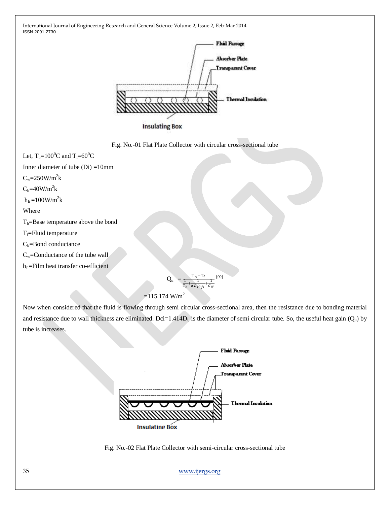

**Insulating Box** 



Let,  $T_b=100^0C$  and  $T_f=60^0C$ 

Inner diameter of tube  $(Di) = 10$ mm

 $C_w = 250W/m^2k$ 

 $C_b = 40W/m^2k$ 

 $h_{fi} = 100W/m^2k$ 

Where

 $T_b$ =Base temperature above the bond

 $T_f$ =Fluid temperature

 $C_b$ =Bond conductance

Cw=Conductance of the tube wall

```
h<sub>fi</sub>=Film heat transfer co-efficient
```

$$
Q_{u} = \frac{T_b - T_f}{\frac{1}{C_b} + \frac{1}{\pi D_i h_{fi} + \frac{1}{C_w}}}
$$
 [09]

## $=115.174$  W/m<sup>2</sup>

Now when considered that the fluid is flowing through semi circular cross-sectional area, then the resistance due to bonding material and resistance due to wall thickness are eliminated. Dci=1.414D<sub>i</sub> is the diameter of semi circular tube. So, the useful heat gain  $(Q_u)$  by tube is increases.



Fig. No.-02 Flat Plate Collector with semi-circular cross-sectional tube

35 [www.ijergs.org](http://www.ijergs.org/)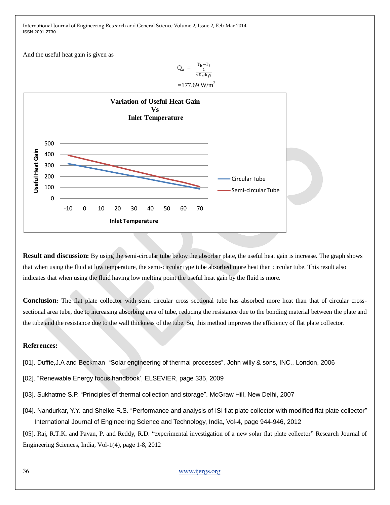And the useful heat gain is given as

$$
Q_u = \frac{T_b - T_f}{\frac{1}{\pi D_{ci} h_{fi}}}
$$



**Result and discussion:** By using the semi-circular tube below the absorber plate, the useful heat gain is increase. The graph shows that when using the fluid at low temperature, the semi-circular type tube absorbed more heat than circular tube. This result also indicates that when using the fluid having low melting point the useful heat gain by the fluid is more.

**Conclusion:** The flat plate collector with semi circular cross sectional tube has absorbed more heat than that of circular crosssectional area tube, due to increasing absorbing area of tube, reducing the resistance due to the bonding material between the plate and the tube and the resistance due to the wall thickness of the tube. So, this method improves the efficiency of flat plate collector.

### **References:**

- [01]. Duffie,J.A and Beckman "Solar engineering of thermal processes". John willy & sons, INC., London, 2006
- [02]. "Renewable Energy focus handbook', ELSEVIER, page 335, 2009
- [03]. Sukhatme S.P. "Principles of thermal collection and storage". McGraw Hill, New Delhi, 2007
- [04]. Nandurkar, Y.Y. and Shelke R.S. "Performance and analysis of ISI flat plate collector with modified flat plate collector" International Journal of Engineering Science and Technology, India, Vol-4, page 944-946, 2012
- [05]. Raj, R.T.K. and Pavan, P. and Reddy, R.D. "experimental investigation of a new solar flat plate collector" Research Journal of Engineering Sciences, India, Vol-1(4), page 1-8, 2012